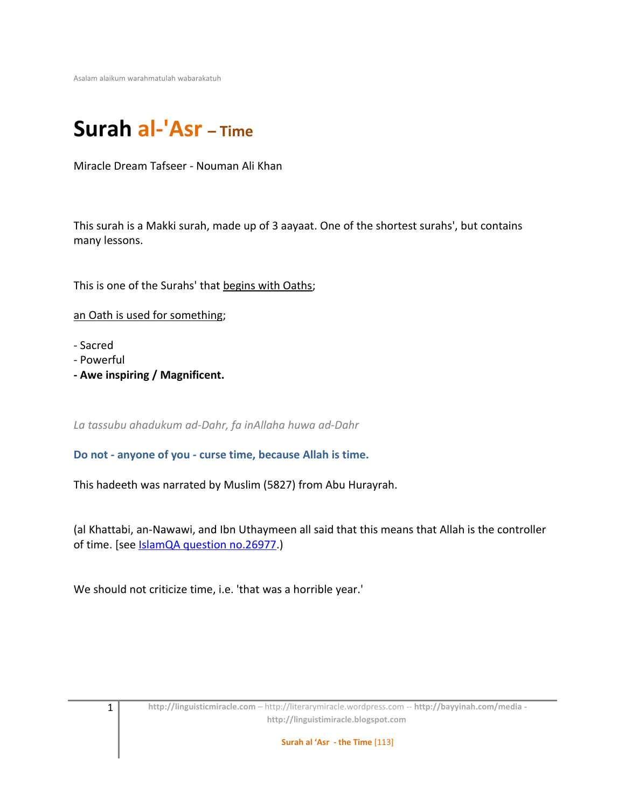Asalam alaikum warahmatulah wabarakatuh

# **Surah al-'Asr – Time**

Miracle Dream Tafseer - Nouman Ali Khan

This surah is a Makki surah, made up of 3 aayaat. One of the shortest surahs', but contains many lessons.

This is one of the Surahs' that begins with Oaths;

an Oath is used for something;

- Sacred
- Powerful
- **Awe inspiring / Magnificent.**

*La tassubu ahadukum ad-Dahr, fa inAllaha huwa ad-Dahr*

#### **Do not - anyone of you - curse time, because Allah is time.**

This hadeeth was narrated by Muslim (5827) from Abu Hurayrah.

(al Khattabi, an-Nawawi, and Ibn Uthaymeen all said that this means that Allah is the controller of time. [see **IslamQA** question no.26977.]

We should not criticize time, i.e. 'that was a horrible year.'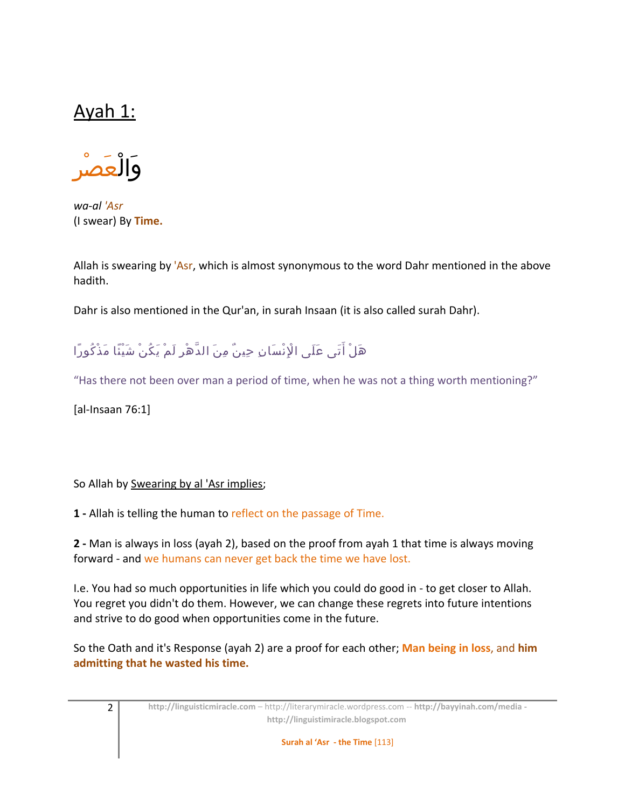# Ayah 1:



*wa-al 'Asr* (I swear) By **Time.**

Allah is swearing by 'Asr, which is almost synonymous to the word Dahr mentioned in the above hadith.

Dahr is also mentioned in the Qur'an, in surah Insaan (it is also called surah Dahr).

# هَلْ أَتَى عَلَى الْإِنْسَانِ حِينٌ مِنَ الدَّهْرِ لَمْ يَكُنْ شَيْئًا مَذْكُورًا

"Has there not been over man a period of time, when he was not a thing worth mentioning?"

[al-Insaan 76:1]

So Allah by Swearing by al 'Asr implies;

**1 -** Allah is telling the human to reflect on the passage of Time.

**2 -** Man is always in loss (ayah 2), based on the proof from ayah 1 that time is always moving forward - and we humans can never get back the time we have lost.

I.e. You had so much opportunities in life which you could do good in - to get closer to Allah. You regret you didn't do them. However, we can change these regrets into future intentions and strive to do good when opportunities come in the future.

So the Oath and it's Response (ayah 2) are a proof for each other; **Man being in loss**, and **him admitting that he wasted his time.**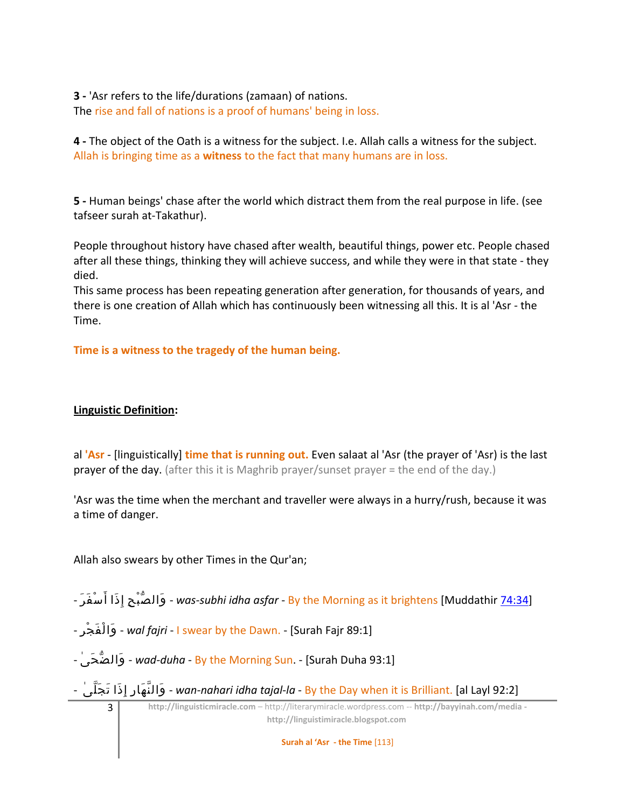**3 -** 'Asr refers to the life/durations (zamaan) of nations. The rise and fall of nations is a proof of humans' being in loss.

**4 -** The object of the Oath is a witness for the subject. I.e. Allah calls a witness for the subject. Allah is bringing time as a **witness** to the fact that many humans are in loss.

**5 -** Human beings' chase after the world which distract them from the real purpose in life. (see tafseer surah at-Takathur).

People throughout history have chased after wealth, beautiful things, power etc. People chased after all these things, thinking they will achieve success, and while they were in that state - they died.

This same process has been repeating generation after generation, for thousands of years, and there is one creation of Allah which has continuously been witnessing all this. It is al 'Asr - the Time.

**Time is a witness to the tragedy of the human being.**

### **Linguistic Definition:**

al **'Asr** - [linguistically] **time that is running out.** Even salaat al 'Asr (the prayer of 'Asr) is the last prayer of the day. (after this it is Maghrib prayer/sunset prayer = the end of the day.)

'Asr was the time when the merchant and traveller were always in a hurry/rush, because it was a time of danger.

Allah also swears by other Times in the Qur'an;

- رَ فَ سْ أ ذاَ إِ حِ بْ صّ والَ َ - *was-subhi idha asfar* - By the Morning as it brightens [Muddathir [74:34\]](http://quran.com/74/34)

- رِ جْ فَ لْ واَ - *wal fajri* - I swear by the Dawn. - [Surah Fajr 89:1]

- ىٰ حَ ضّ والَ - *wad-duha* - By the Morning Sun. - [Surah Duha 93:1]

- ىٰ لّ جَ تَ ذاَ إِ رِ هاَ نّ والَ - *wan-nahari idha tajal-la* - By the Day when it is Brilliant. [al Layl 92:2]

3 **http://linguisticmiracle.com** – http://literarymiracle.wordpress.com -- **http://bayyinah.com/media http://linguistimiracle.blogspot.com** 

**Surah al 'Asr - the Time** [113]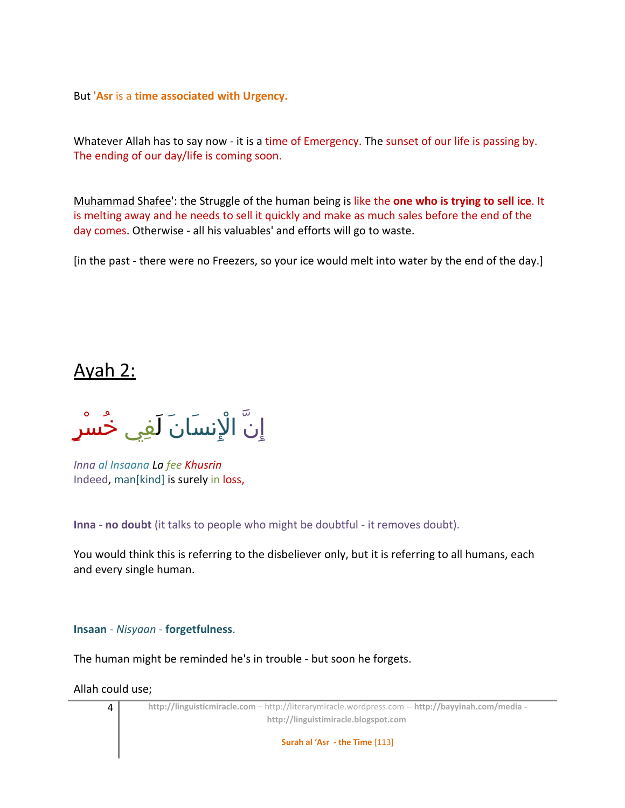But '**Asr** is a **time associated with Urgency.**

Whatever Allah has to say now - it is a time of Emergency. The sunset of our life is passing by. The ending of our day/life is coming soon.

Muhammad Shafee': the Struggle of the human being is like the **one who is trying to sell ice**. It is melting away and he needs to sell it quickly and make as much sales before the end of the day comes. Otherwise - all his valuables' and efforts will go to waste.

[in the past - there were no Freezers, so your ice would melt into water by the end of the day.]

# Ayah 2:

ِإ ّن ا ِْلن َسا َن َل ِفي ُخ ْس ٍر

*Inna al Insaana La fee Khusrin* Indeed, man[kind] is surely in loss,

**Inna - no doubt** (it talks to people who might be doubtful - it removes doubt).

You would think this is referring to the disbeliever only, but it is referring to all humans, each and every single human.

### **Insaan** - *Nisyaan* - **forgetfulness**.

The human might be reminded he's in trouble - but soon he forgets.

Allah could use;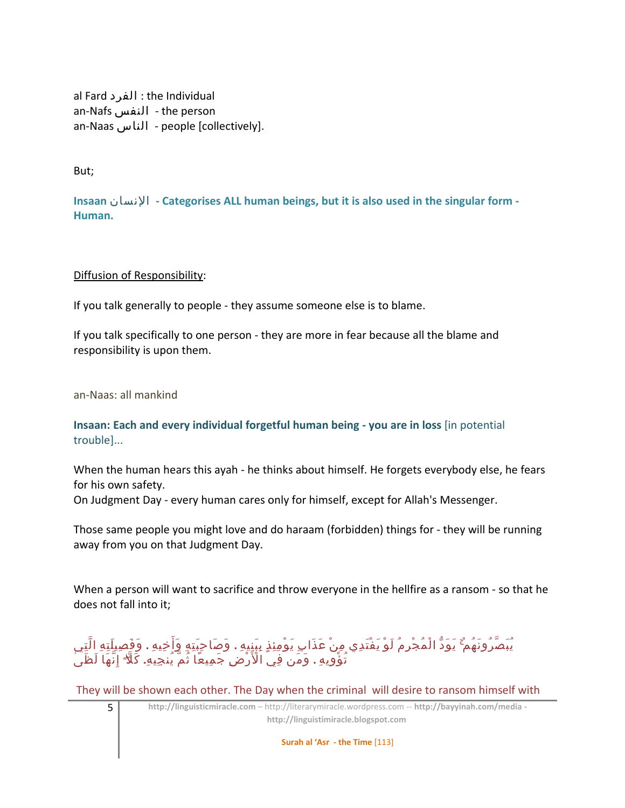```
al Fard الفرد : the Individual
an-Nafs النفس - the person
an-Naas الناس - people [collectively].
```
But;

**Insaan** النسان **- Categorises ALL human beings, but it is also used in the singular form - Human.**

Diffusion of Responsibility:

If you talk generally to people - they assume someone else is to blame.

If you talk specifically to one person - they are more in fear because all the blame and responsibility is upon them.

an-Naas: all mankind

**Insaan: Each and every individual forgetful human being - you are in loss** [in potential trouble]...

When the human hears this ayah - he thinks about himself. He forgets everybody else, he fears for his own safety.

On Judgment Day - every human cares only for himself, except for Allah's Messenger.

Those same people you might love and do haraam (forbidden) things for - they will be running away from you on that Judgment Day.

When a person will want to sacrifice and throw everyone in the hellfire as a ransom - so that he does not fall into it;

## ً يُبَصَّرُونَهُمْ ۚ يَوَدُّ الْمُجْرِمُ لَوْ يَفْتَدِي مِنْ عَذَابِ يَوْمِئِذِ بِبَنِيهِ . وَصَاحِبَتِهِ وَأَخِيهِ . وَفَصِيلَتِهِ الَّتِي ُت ْؤ ِوي ِه **.** َو َمن ِفي ا َ ْل ْر ِض َج ِمي ًعا ُث ّم ُين ِجي ِه**.** َك ّلۖ ِإ ّن َها َل َظ ٰى

They will be shown each other. The Day when the criminal will desire to ransom himself with

5 **http://linguisticmiracle.com** – http://literarymiracle.wordpress.com -- **http://bayyinah.com/media http://linguistimiracle.blogspot.com** 

**Surah al 'Asr - the Time** [113]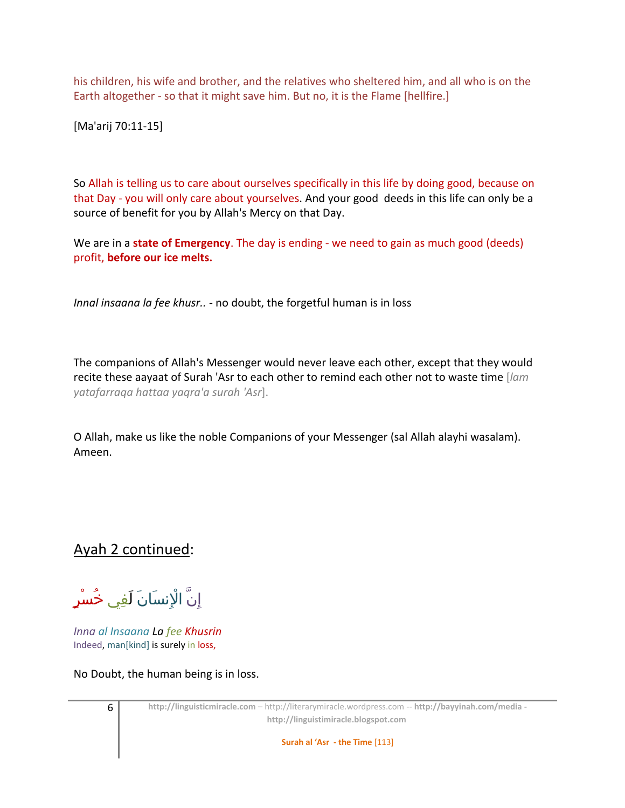his children, his wife and brother, and the relatives who sheltered him, and all who is on the Earth altogether - so that it might save him. But no, it is the Flame [hellfire.]

[Ma'arij 70:11-15]

So Allah is telling us to care about ourselves specifically in this life by doing good, because on that Day - you will only care about yourselves. And your good deeds in this life can only be a source of benefit for you by Allah's Mercy on that Day.

We are in a **state of Emergency**. The day is ending - we need to gain as much good (deeds) profit, **before our ice melts.**

*Innal insaana la fee khusr..* - no doubt, the forgetful human is in loss

The companions of Allah's Messenger would never leave each other, except that they would recite these aayaat of Surah 'Asr to each other to remind each other not to waste time [*lam yatafarraqa hattaa yaqra'a surah 'Asr*].

O Allah, make us like the noble Companions of your Messenger (sal Allah alayhi wasalam). Ameen.

## Ayah 2 continued:

ِإِنَّ الْإِنسَانَ لَفِي خُ<mark>سْرٍ</mark>

*Inna al Insaana La fee Khusrin* Indeed, man[kind] is surely in loss,

No Doubt, the human being is in loss.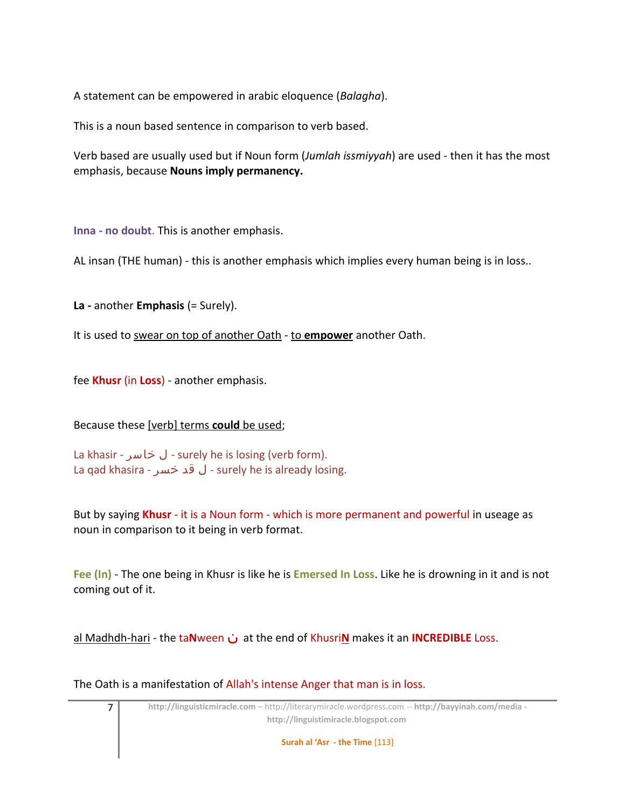A statement can be empowered in arabic eloquence (*Balagha*).

This is a noun based sentence in comparison to verb based.

Verb based are usually used but if Noun form (*Jumlah issmiyyah*) are used - then it has the most emphasis, because **Nouns imply permanency.**

**Inna - no doubt**. This is another emphasis.

AL insan (THE human) - this is another emphasis which implies every human being is in loss..

**La -** another **Emphasis** (= Surely).

It is used to swear on top of another Oath - to **empower** another Oath.

fee **Khusr** (in **Loss**) - another emphasis.

### Because these [verb] terms **could** be used;

La khasir - خاسر ل - surely he is losing (verb form). La qad khasira - خسر قد ل - surely he is already losing.

But by saying **Khusr** - it is a Noun form - which is more permanent and powerful in useage as noun in comparison to it being in verb format.

**Fee (In)** - The one being in Khusr is like he is **Emersed In Loss**. Like he is drowning in it and is not coming out of it.

al Madhdh-hari - the ta**N**ween ن at the end of Khusri**N** makes it an **INCREDIBLE** Loss.

The Oath is a manifestation of Allah's intense Anger that man is in loss.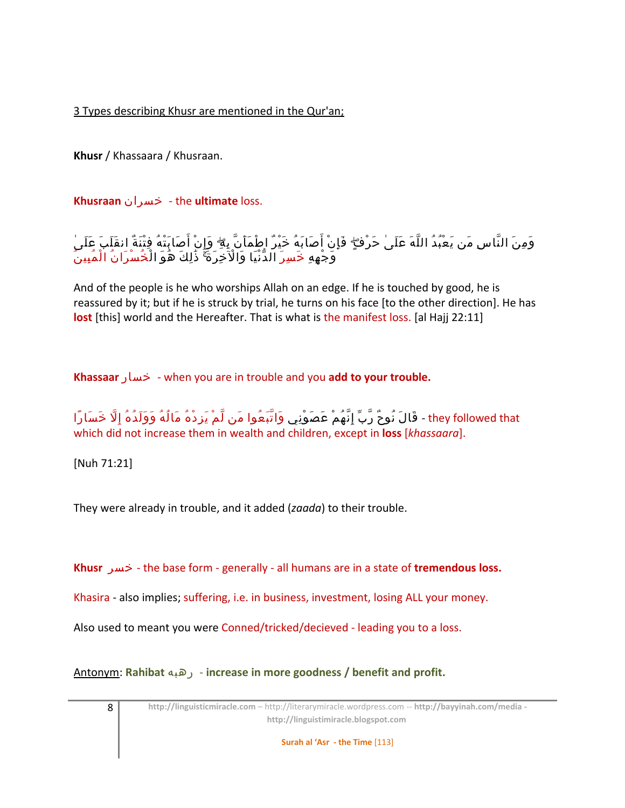3 Types describing Khusr are mentioned in the Qur'an;

**Khusr** / Khassaara / Khusraan.

**Khusraan** خسران - the **ultimate** loss.

َ وَمِنَ النَّاسِ مَن يَعْبُدُ اللَّهَ عَلَىٰ حَرْفٍ ۖ فَإِنْ أَصَابَهُ خَيْرٌ اطْمَأَنَّ بِهِ ۖ وَإِنْ أَصَابَتْهُ فِتْنَةٌ انقَلَبَ عَلَىٰ َ وَجْهِهِ خَسِرَ الدَّنْيَا وَالْآخِرَةَ ۚ ذَٰلِكَ هَوَ الْخَسْرَانَ الْمَبِينَ

And of the people is he who worships Allah on an edge. If he is touched by good, he is reassured by it; but if he is struck by trial, he turns on his face [to the other direction]. He has **lost** [this] world and the Hereafter. That is what is the manifest loss. [al Hajj 22:11]

**Khassaar** خسار - when you are in trouble and you **add to your trouble.**

they followed that - قَالَ نُوحٌ رَّبِّ إِنَّهُمْ عَصَوْنِي وَاتَّبَعُوا مَن لَّمْ يَزِدْهُ مَالُهُ وَوَلَدُهُ إِلَّا خَسَارًا which did not increase them in wealth and children, except in **loss** [*khassaara*].

[Nuh 71:21]

They were already in trouble, and it added (*zaada*) to their trouble.

**Khusr** خسر - the base form - generally - all humans are in a state of **tremendous loss.**

Khasira - also implies; suffering, i.e. in business, investment, losing ALL your money.

Also used to meant you were Conned/tricked/decieved - leading you to a loss.

Antonym: **Rahibat** رهبه - **increase in more goodness / benefit and profit.**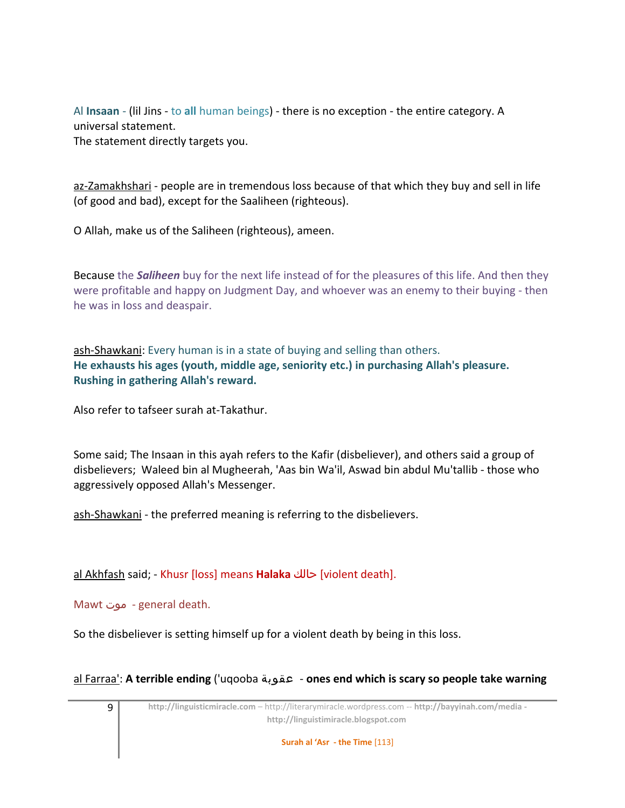Al **Insaan** - (lil Jins - to **all** human beings) - there is no exception - the entire category. A universal statement. The statement directly targets you.

az-Zamakhshari - people are in tremendous loss because of that which they buy and sell in life (of good and bad), except for the Saaliheen (righteous).

O Allah, make us of the Saliheen (righteous), ameen.

Because the *Saliheen* buy for the next life instead of for the pleasures of this life. And then they were profitable and happy on Judgment Day, and whoever was an enemy to their buying - then he was in loss and deaspair.

ash-Shawkani: Every human is in a state of buying and selling than others. **He exhausts his ages (youth, middle age, seniority etc.) in purchasing Allah's pleasure. Rushing in gathering Allah's reward.**

Also refer to tafseer surah at-Takathur.

Some said; The Insaan in this ayah refers to the Kafir (disbeliever), and others said a group of disbelievers; Waleed bin al Mugheerah, 'Aas bin Wa'il, Aswad bin abdul Mu'tallib - those who aggressively opposed Allah's Messenger.

ash-Shawkani - the preferred meaning is referring to the disbelievers.

al Akhfash said; - Khusr [loss] means **Halaka** حالك] violent death].

Mawt موت - general death.

So the disbeliever is setting himself up for a violent death by being in this loss.

al Farraa': **A terrible ending** ('uqooba عقوبة - **ones end which is scary so people take warning**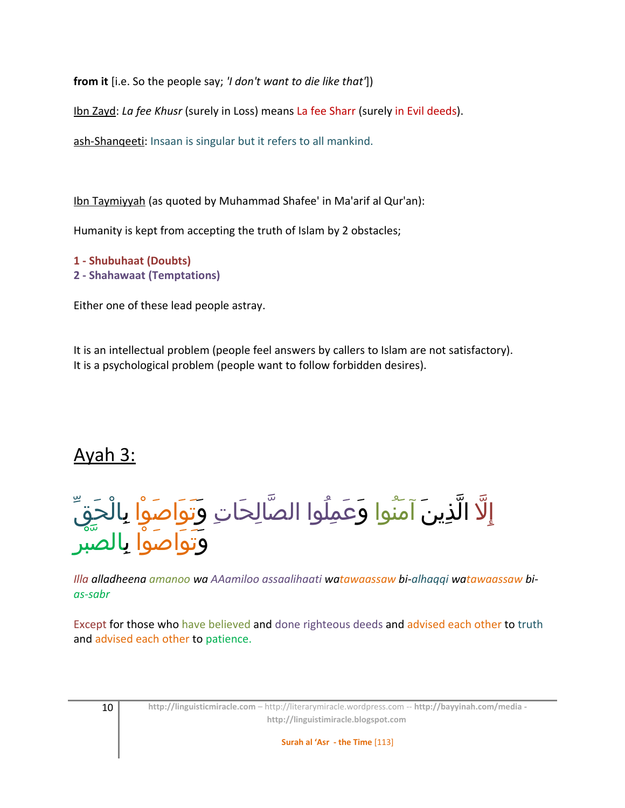**from it** [i.e. So the people say; *'I don't want to die like that'*])

Ibn Zayd: *La fee Khusr* (surely in Loss) means La fee Sharr (surely in Evil deeds).

ash-Shanqeeti: Insaan is singular but it refers to all mankind.

Ibn Taymiyyah (as quoted by Muhammad Shafee' in Ma'arif al Qur'an):

Humanity is kept from accepting the truth of Islam by 2 obstacles;

**1 - Shubuhaat (Doubts) 2 - Shahawaat (Temptations)**

Either one of these lead people astray.

It is an intellectual problem (people feel answers by callers to Islam are not satisfactory). It is a psychological problem (people want to follow forbidden desires).

# Ayah 3:

إِلّا الّذِينَ آمَنُوا وَعَمِلُوا الصّالِحَاتِ وَتَوَاصَوْا بِالْحَقّ َ وَتَوَاضُوا بِالصَّبْرِ

*Illa alladheena amanoo wa AAamiloo assaalihaati watawaassaw bi-alhaqqi watawaassaw bias-sabr*

Except for those who have believed and done righteous deeds and advised each other to truth and advised each other to patience.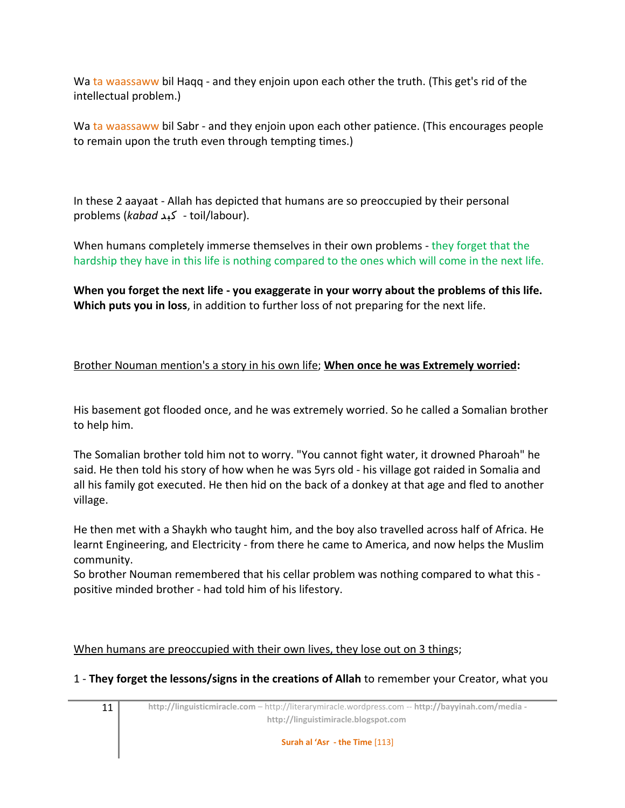Wa ta waassaww bil Haqq - and they enjoin upon each other the truth. (This get's rid of the intellectual problem.)

Wa ta waassaww bil Sabr - and they enjoin upon each other patience. (This encourages people to remain upon the truth even through tempting times.)

In these 2 aayaat - Allah has depicted that humans are so preoccupied by their personal problems (*kabad* كبد - toil/labour).

When humans completely immerse themselves in their own problems - they forget that the hardship they have in this life is nothing compared to the ones which will come in the next life.

**When you forget the next life - you exaggerate in your worry about the problems of this life. Which puts you in loss**, in addition to further loss of not preparing for the next life.

### Brother Nouman mention's a story in his own life; **When once he was Extremely worried:**

His basement got flooded once, and he was extremely worried. So he called a Somalian brother to help him.

The Somalian brother told him not to worry. "You cannot fight water, it drowned Pharoah" he said. He then told his story of how when he was 5yrs old - his village got raided in Somalia and all his family got executed. He then hid on the back of a donkey at that age and fled to another village.

He then met with a Shaykh who taught him, and the boy also travelled across half of Africa. He learnt Engineering, and Electricity - from there he came to America, and now helps the Muslim community.

So brother Nouman remembered that his cellar problem was nothing compared to what this positive minded brother - had told him of his lifestory.

### When humans are preoccupied with their own lives, they lose out on 3 things;

1 - **They forget the lessons/signs in the creations of Allah** to remember your Creator, what you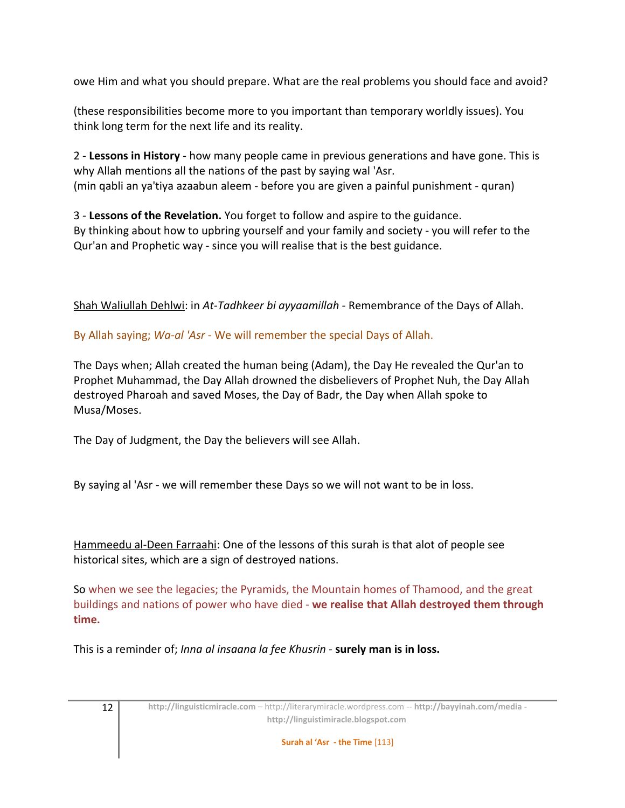owe Him and what you should prepare. What are the real problems you should face and avoid?

(these responsibilities become more to you important than temporary worldly issues). You think long term for the next life and its reality.

2 - **Lessons in History** - how many people came in previous generations and have gone. This is why Allah mentions all the nations of the past by saying wal 'Asr. (min qabli an ya'tiya azaabun aleem - before you are given a painful punishment - quran)

3 - **Lessons of the Revelation.** You forget to follow and aspire to the guidance. By thinking about how to upbring yourself and your family and society - you will refer to the Qur'an and Prophetic way - since you will realise that is the best guidance.

Shah Waliullah Dehlwi: in *At-Tadhkeer bi ayyaamillah* - Remembrance of the Days of Allah.

By Allah saying; *Wa-al 'Asr* - We will remember the special Days of Allah.

The Days when; Allah created the human being (Adam), the Day He revealed the Qur'an to Prophet Muhammad, the Day Allah drowned the disbelievers of Prophet Nuh, the Day Allah destroyed Pharoah and saved Moses, the Day of Badr, the Day when Allah spoke to Musa/Moses.

The Day of Judgment, the Day the believers will see Allah.

By saying al 'Asr - we will remember these Days so we will not want to be in loss.

Hammeedu al-Deen Farraahi: One of the lessons of this surah is that alot of people see historical sites, which are a sign of destroyed nations.

So when we see the legacies; the Pyramids, the Mountain homes of Thamood, and the great buildings and nations of power who have died - **we realise that Allah destroyed them through time.**

This is a reminder of; *Inna al insaana la fee Khusrin* - **surely man is in loss.**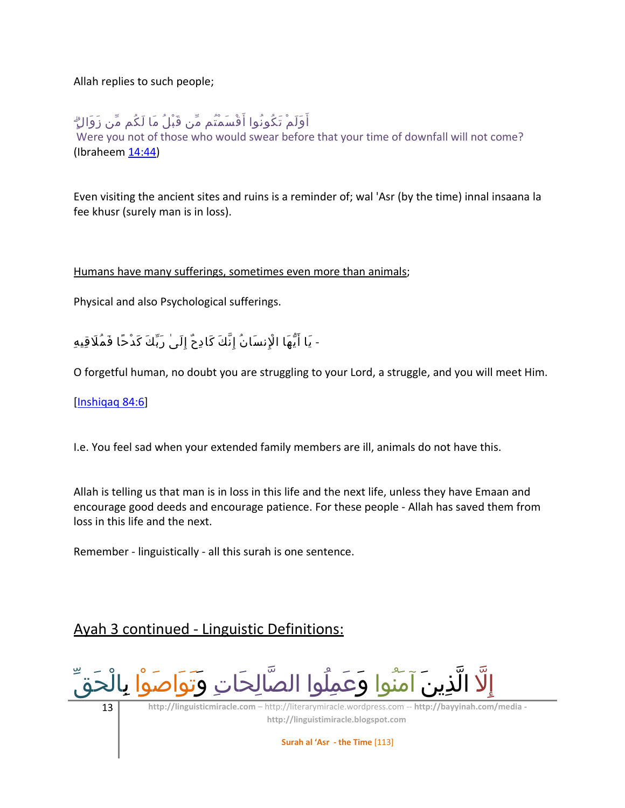Allah replies to such people;

## أَوَلَمْ تَكُونُوا أَقْسَمْتُم مِّن قَبْلُ مَا لَكُم مِّن زَوَالٍ ۗ

Were you not of those who would swear before that your time of downfall will not come? (Ibraheem [14:44\)](http://quran.com/14/44)

Even visiting the ancient sites and ruins is a reminder of; wal 'Asr (by the time) innal insaana la fee khusr (surely man is in loss).

Humans have many sufferings, sometimes even more than animals;

Physical and also Psychological sufferings.

- يَا أَيُّهَا الْإِنسَانُ إِنَّكَ كَادِحٌ إِلَىٰ رَبِّكَ كَدْحًا فَمُلَاقِيهِ

O forgetful human, no doubt you are struggling to your Lord, a struggle, and you will meet Him.

[\[Inshiqaq 84:6\]](http://quran.com/84/6)

I.e. You feel sad when your extended family members are ill, animals do not have this.

Allah is telling us that man is in loss in this life and the next life, unless they have Emaan and encourage good deeds and encourage patience. For these people - Allah has saved them from loss in this life and the next.

Remember - linguistically - all this surah is one sentence.

## Ayah 3 continued - Linguistic Definitions:

إِلّا الّذِينَ آمَنُوا وَعَمِلُوا الصَالِحَاتِ وَتُوَاصَوا بِالْحَقَ

13 **http://linguisticmiracle.com** – http://literarymiracle.wordpress.com -- **http://bayyinah.com/media http://linguistimiracle.blogspot.com** 

**Surah al 'Asr - the Time** [113]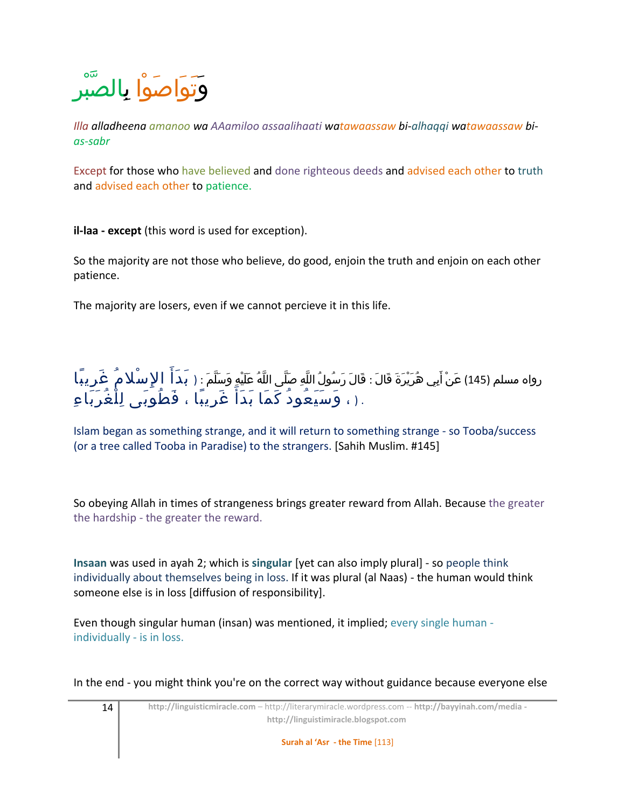

*Illa alladheena amanoo wa AAamiloo assaalihaati watawaassaw bi-alhaqqi watawaassaw bias-sabr*

Except for those who have believed and done righteous deeds and advised each other to truth and advised each other to patience.

**il-laa - except** (this word is used for exception).

So the majority are not those who believe, do good, enjoin the truth and enjoin on each other patience.

The majority are losers, even if we cannot percieve it in this life.

رواه مسلم (145) عَنْ أَبِي هُرَيْرَةَ قَالَ : قَالَ رَسُولُ اللَّهِ صَلَّى اللَّهُ عَلَيْهِ وَسَلَّمَ : ( بَـدَ أَ ۚ إِلاٍ سْـلا مُ ۚ غَرِ يبًا . ( ، وَسَيَعُودُ كَمَا بَدَأَ غَرِيْبًا ، فَطُوَبَى لِلْغُرَبَاءِ

Islam began as something strange, and it will return to something strange - so Tooba/success (or a tree called Tooba in Paradise) to the strangers. [Sahih Muslim. #145]

So obeying Allah in times of strangeness brings greater reward from Allah. Because the greater the hardship - the greater the reward.

**Insaan** was used in ayah 2; which is **singular** [yet can also imply plural] - so people think individually about themselves being in loss. If it was plural (al Naas) - the human would think someone else is in loss [diffusion of responsibility].

Even though singular human (insan) was mentioned, it implied; every single human individually - is in loss.

In the end - you might think you're on the correct way without guidance because everyone else

14 **http://linguisticmiracle.com** – http://literarymiracle.wordpress.com -- **http://bayyinah.com/media http://linguistimiracle.blogspot.com** 

**Surah al 'Asr - the Time** [113]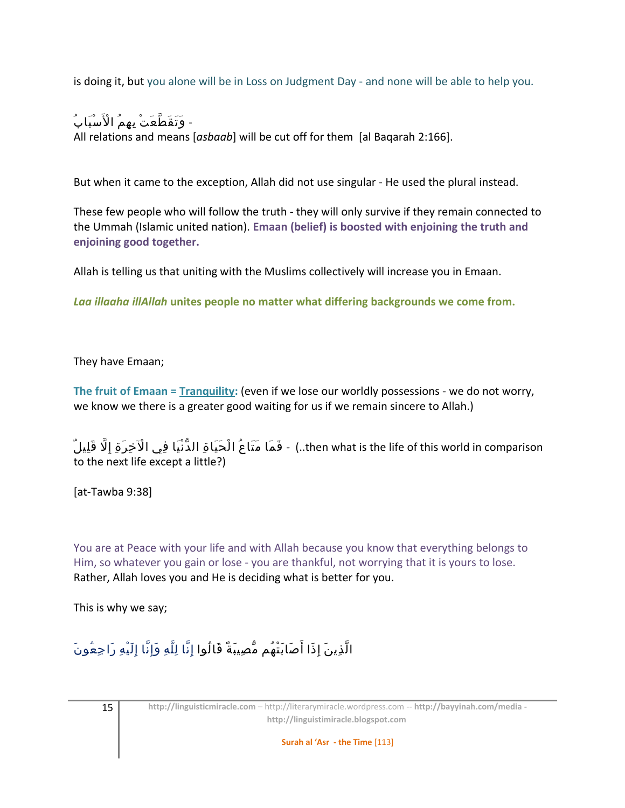is doing it, but you alone will be in Loss on Judgment Day - and none will be able to help you.

# - وَتَقَطَّعَتْ بِهِمُ الْأَسْبَابُ

All relations and means [*asbaab*] will be cut off for them [al Baqarah 2:166].

But when it came to the exception, Allah did not use singular - He used the plural instead.

These few people who will follow the truth - they will only survive if they remain connected to the Ummah (Islamic united nation). **Emaan (belief) is boosted with enjoining the truth and enjoining good together.**

Allah is telling us that uniting with the Muslims collectively will increase you in Emaan.

*Laa illaaha illAllah* **unites people no matter what differing backgrounds we come from.**

They have Emaan;

**The fruit of Emaan = Tranquility:** (even if we lose our worldly possessions - we do not worry, we know we there is a greater good waiting for us if we remain sincere to Allah.)

then what is the life of this world in comparison.) - فَمَا مَتَاعُ الْحَيَاةِ الدُّنْيَا فِي الْآخِرَةِ إِلَّا قَلِيلٌ to the next life except a little?)

[at-Tawba 9:38]

You are at Peace with your life and with Allah because you know that everything belongs to Him, so whatever you gain or lose - you are thankful, not worrying that it is yours to lose. Rather, Allah loves you and He is deciding what is better for you.

This is why we say;

# الَّذِينَ إِذَا أَصَابَتْهُم مُّصِيبَةٌ قَالُوا إِنَّا لِلَّهِ وَإِنَّا إِلَيْهِ رَاجِعُونَ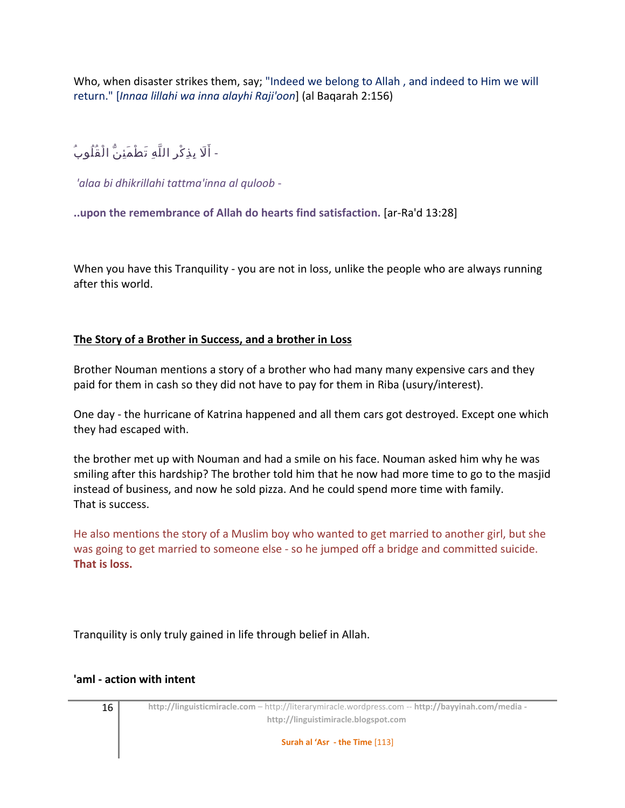Who, when disaster strikes them, say; "Indeed we belong to Allah , and indeed to Him we will return." [*Innaa lillahi wa inna alayhi Raji'oon*] (al Baqarah 2:156)

- أَلَا بِذِكْرِ اللَّهِ تَطْمَئِنُّ الْقُلُوبُ

*'alaa bi dhikrillahi tattma'inna al quloob* -

**..upon the remembrance of Allah do hearts find satisfaction.** [ar-Ra'd 13:28]

When you have this Tranquility - you are not in loss, unlike the people who are always running after this world.

### **The Story of a Brother in Success, and a brother in Loss**

Brother Nouman mentions a story of a brother who had many many expensive cars and they paid for them in cash so they did not have to pay for them in Riba (usury/interest).

One day - the hurricane of Katrina happened and all them cars got destroyed. Except one which they had escaped with.

the brother met up with Nouman and had a smile on his face. Nouman asked him why he was smiling after this hardship? The brother told him that he now had more time to go to the masjid instead of business, and now he sold pizza. And he could spend more time with family. That is success.

He also mentions the story of a Muslim boy who wanted to get married to another girl, but she was going to get married to someone else - so he jumped off a bridge and committed suicide. **That is loss.**

Tranquility is only truly gained in life through belief in Allah.

### **'aml - action with intent**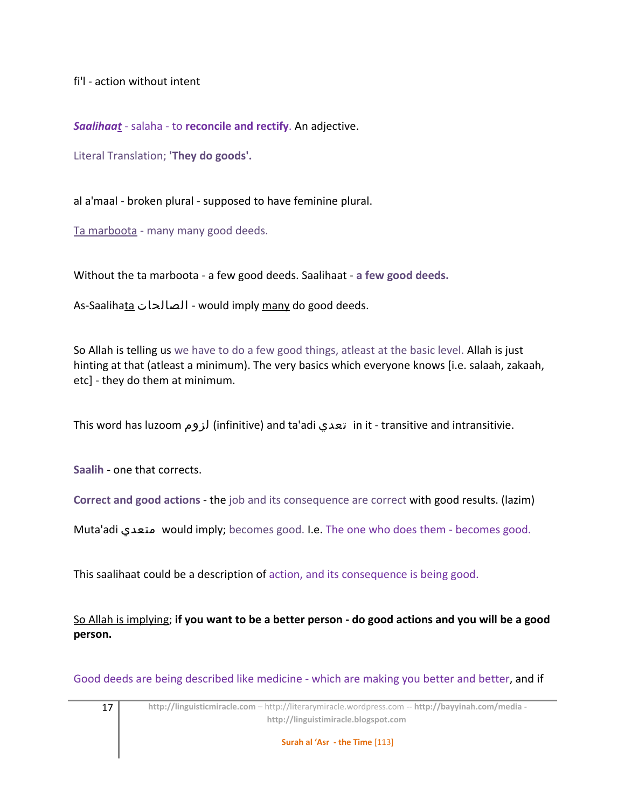fi'l - action without intent

*Saalihaat* - salaha - to **reconcile and rectify**. An adjective.

Literal Translation; **'They do goods'.** 

al a'maal - broken plural - supposed to have feminine plural.

Ta marboota - many many good deeds.

Without the ta marboota - a few good deeds. Saalihaat - **a few good deeds.**

As-Saalihata الصالحات - would imply many do good deeds.

So Allah is telling us we have to do a few good things, atleast at the basic level. Allah is just hinting at that (atleast a minimum). The very basics which everyone knows [i.e. salaah, zakaah, etc] - they do them at minimum.

This word has luzoom لزوم) infinitive) and ta'adi تعدي in it - transitive and intransitivie.

**Saalih** - one that corrects.

**Correct and good actions** - the job and its consequence are correct with good results. (lazim)

Muta'adi متعدي would imply; becomes good. I.e. The one who does them - becomes good.

This saalihaat could be a description of action, and its consequence is being good.

So Allah is implying; **if you want to be a better person - do good actions and you will be a good person.**

Good deeds are being described like medicine - which are making you better and better, and if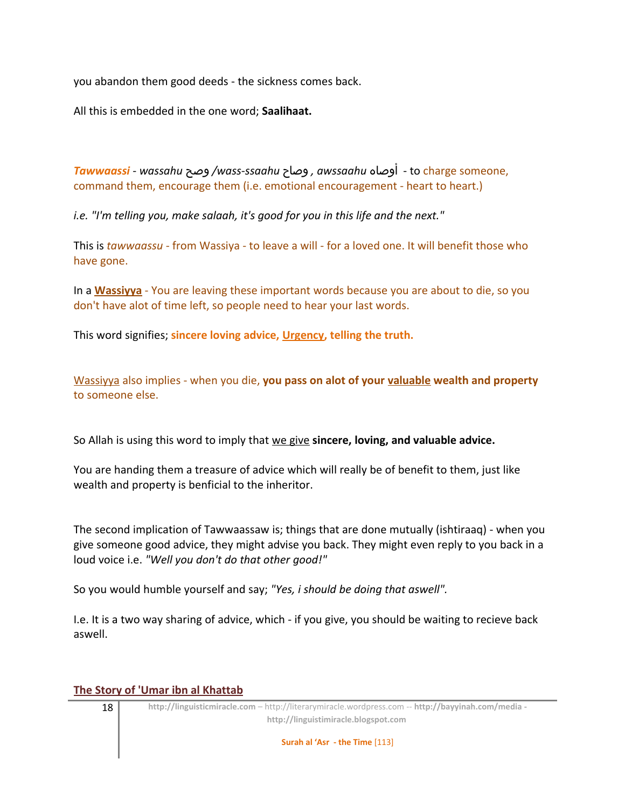you abandon them good deeds - the sickness comes back.

All this is embedded in the one word; **Saalihaat.**

*Tawwaassi* - *wassahu* وصح */wass-ssaahu* وصاح *, awssaahu* أوصاه - to charge someone, command them, encourage them (i.e. emotional encouragement - heart to heart.)

*i.e. "I'm telling you, make salaah, it's good for you in this life and the next."*

This is *tawwaassu* - from Wassiya - to leave a will - for a loved one. It will benefit those who have gone.

In a **Wassiyya** - You are leaving these important words because you are about to die, so you don't have alot of time left, so people need to hear your last words.

This word signifies; **sincere loving advice, Urgency, telling the truth.**

Wassiyya also implies - when you die, **you pass on alot of your valuable wealth and property** to someone else.

So Allah is using this word to imply that we give **sincere, loving, and valuable advice.**

You are handing them a treasure of advice which will really be of benefit to them, just like wealth and property is benficial to the inheritor.

The second implication of Tawwaassaw is; things that are done mutually (ishtiraaq) - when you give someone good advice, they might advise you back. They might even reply to you back in a loud voice i.e. *"Well you don't do that other good!"*

So you would humble yourself and say; *"Yes, i should be doing that aswell".*

I.e. It is a two way sharing of advice, which - if you give, you should be waiting to recieve back aswell.

#### **The Story of 'Umar ibn al Khattab**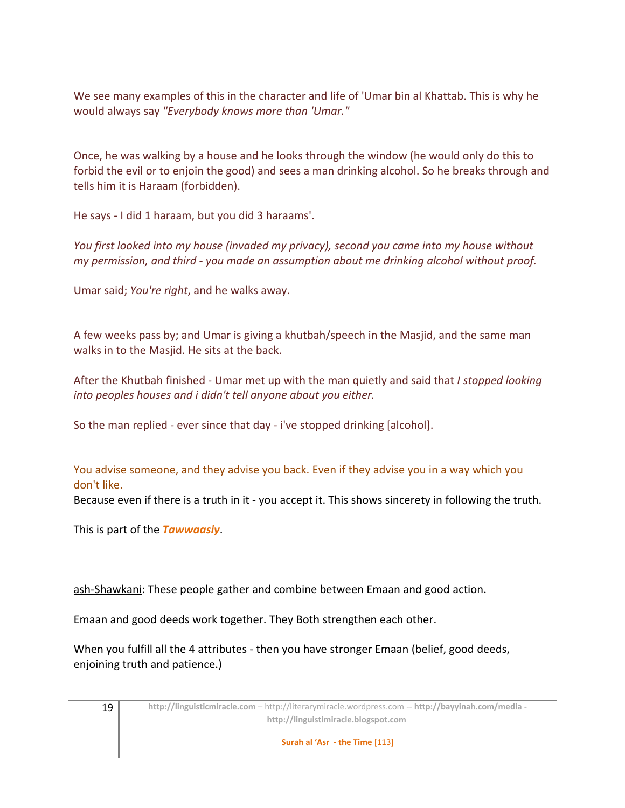We see many examples of this in the character and life of 'Umar bin al Khattab. This is why he would always say *"Everybody knows more than 'Umar."*

Once, he was walking by a house and he looks through the window (he would only do this to forbid the evil or to enjoin the good) and sees a man drinking alcohol. So he breaks through and tells him it is Haraam (forbidden).

He says - I did 1 haraam, but you did 3 haraams'.

*You first looked into my house (invaded my privacy), second you came into my house without my permission, and third - you made an assumption about me drinking alcohol without proof.*

Umar said; *You're right*, and he walks away.

A few weeks pass by; and Umar is giving a khutbah/speech in the Masjid, and the same man walks in to the Masjid. He sits at the back.

After the Khutbah finished - Umar met up with the man quietly and said that *I stopped looking into peoples houses and i didn't tell anyone about you either.*

So the man replied - ever since that day - i've stopped drinking [alcohol].

You advise someone, and they advise you back. Even if they advise you in a way which you don't like.

Because even if there is a truth in it - you accept it. This shows sincerety in following the truth.

This is part of the *Tawwaasiy*.

ash-Shawkani: These people gather and combine between Emaan and good action.

Emaan and good deeds work together. They Both strengthen each other.

When you fulfill all the 4 attributes - then you have stronger Emaan (belief, good deeds, enjoining truth and patience.)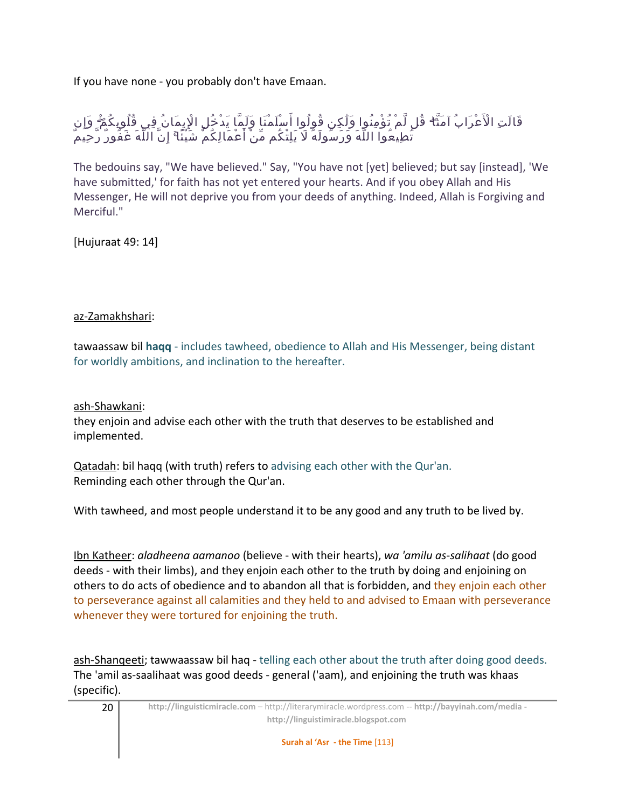If you have none - you probably don't have Emaan.

قَالَتِ الْأَعْرَابُ آمَنَّا ۖ قُل لَّمْ تُؤْمِنُوا وَلَٰكِن قُولُوا أَسْلَمْنَا وَلَمَّا يَدْخُلِ الْإِيمَانُ فِي قُلُوبِكُمْ ۖ وَإِن َ تُطِيعُواْ اللَّهَ وَرَسُّولَهُ لَا يَلِتْكُم مِّنْ أَعْمَالِكُمْ شَيْئًا ۚ إِنَّ اللَّهَ غَفُورٌ رَّحِيَمٌ

The bedouins say, "We have believed." Say, "You have not [yet] believed; but say [instead], 'We have submitted,' for faith has not yet entered your hearts. And if you obey Allah and His Messenger, He will not deprive you from your deeds of anything. Indeed, Allah is Forgiving and Merciful."

[Hujuraat 49: 14]

### az-Zamakhshari:

tawaassaw bil **haqq** - includes tawheed, obedience to Allah and His Messenger, being distant for worldly ambitions, and inclination to the hereafter.

ash-Shawkani:

they enjoin and advise each other with the truth that deserves to be established and implemented.

Qatadah: bil haqq (with truth) refers to advising each other with the Qur'an. Reminding each other through the Qur'an.

With tawheed, and most people understand it to be any good and any truth to be lived by.

Ibn Katheer: *aladheena aamanoo* (believe - with their hearts), *wa 'amilu as-salihaat* (do good deeds - with their limbs), and they enjoin each other to the truth by doing and enjoining on others to do acts of obedience and to abandon all that is forbidden, and they enjoin each other to perseverance against all calamities and they held to and advised to Emaan with perseverance whenever they were tortured for enjoining the truth.

ash-Shanqeeti; tawwaassaw bil haq - telling each other about the truth after doing good deeds. The 'amil as-saalihaat was good deeds - general ('aam), and enjoining the truth was khaas (specific).